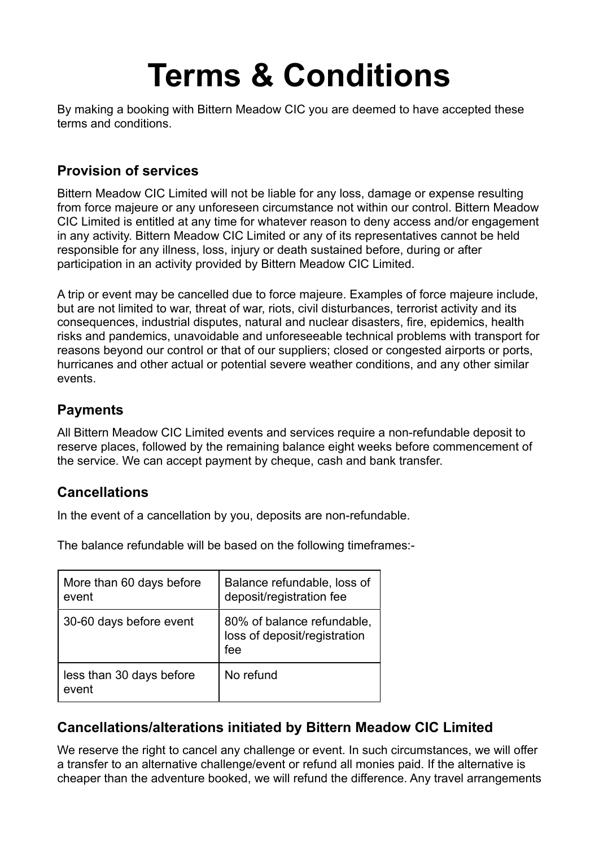# **Terms & Conditions**

By making a booking with Bittern Meadow CIC you are deemed to have accepted these terms and conditions.

## **Provision of services**

Bittern Meadow CIC Limited will not be liable for any loss, damage or expense resulting from force majeure or any unforeseen circumstance not within our control. Bittern Meadow CIC Limited is entitled at any time for whatever reason to deny access and/or engagement in any activity. Bittern Meadow CIC Limited or any of its representatives cannot be held responsible for any illness, loss, injury or death sustained before, during or after participation in an activity provided by Bittern Meadow CIC Limited.

A trip or event may be cancelled due to force majeure. Examples of force majeure include, but are not limited to war, threat of war, riots, civil disturbances, terrorist activity and its consequences, industrial disputes, natural and nuclear disasters, fire, epidemics, health risks and pandemics, unavoidable and unforeseeable technical problems with transport for reasons beyond our control or that of our suppliers; closed or congested airports or ports, hurricanes and other actual or potential severe weather conditions, and any other similar events.

#### **Payments**

All Bittern Meadow CIC Limited events and services require a non-refundable deposit to reserve places, followed by the remaining balance eight weeks before commencement of the service. We can accept payment by cheque, cash and bank transfer.

## **Cancellations**

In the event of a cancellation by you, deposits are non-refundable.

The balance refundable will be based on the following timeframes:-

| More than 60 days before<br>event | Balance refundable, loss of<br>deposit/registration fee           |
|-----------------------------------|-------------------------------------------------------------------|
| 30-60 days before event           | 80% of balance refundable,<br>loss of deposit/registration<br>fee |
| less than 30 days before<br>event | No refund                                                         |

# **Cancellations/alterations initiated by Bittern Meadow CIC Limited**

We reserve the right to cancel any challenge or event. In such circumstances, we will offer a transfer to an alternative challenge/event or refund all monies paid. If the alternative is cheaper than the adventure booked, we will refund the difference. Any travel arrangements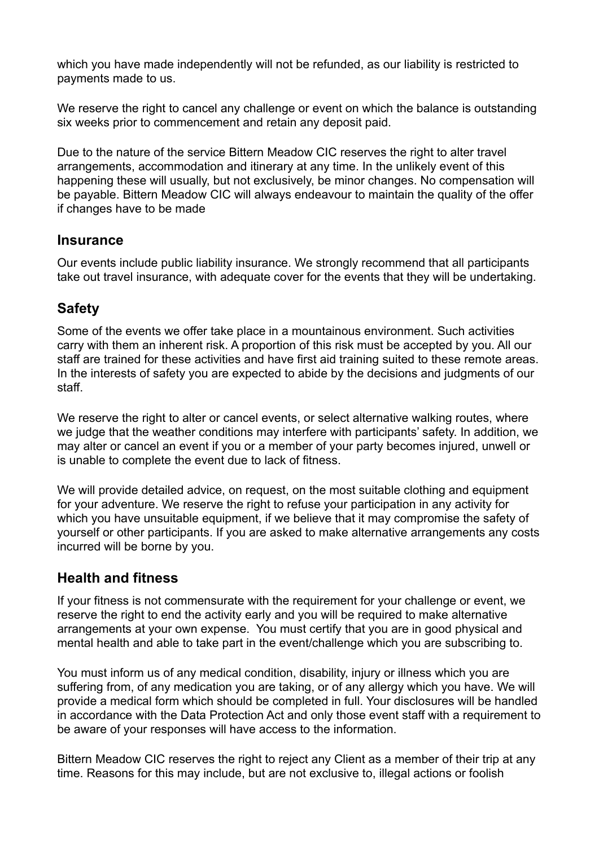which you have made independently will not be refunded, as our liability is restricted to payments made to us.

We reserve the right to cancel any challenge or event on which the balance is outstanding six weeks prior to commencement and retain any deposit paid.

Due to the nature of the service Bittern Meadow CIC reserves the right to alter travel arrangements, accommodation and itinerary at any time. In the unlikely event of this happening these will usually, but not exclusively, be minor changes. No compensation will be payable. Bittern Meadow CIC will always endeavour to maintain the quality of the offer if changes have to be made

#### **Insurance**

Our events include public liability insurance. We strongly recommend that all participants take out travel insurance, with adequate cover for the events that they will be undertaking.

#### **Safety**

Some of the events we offer take place in a mountainous environment. Such activities carry with them an inherent risk. A proportion of this risk must be accepted by you. All our staff are trained for these activities and have first aid training suited to these remote areas. In the interests of safety you are expected to abide by the decisions and judgments of our staff.

We reserve the right to alter or cancel events, or select alternative walking routes, where we judge that the weather conditions may interfere with participants' safety. In addition, we may alter or cancel an event if you or a member of your party becomes injured, unwell or is unable to complete the event due to lack of fitness.

We will provide detailed advice, on request, on the most suitable clothing and equipment for your adventure. We reserve the right to refuse your participation in any activity for which you have unsuitable equipment, if we believe that it may compromise the safety of yourself or other participants. If you are asked to make alternative arrangements any costs incurred will be borne by you.

#### **Health and fitness**

If your fitness is not commensurate with the requirement for your challenge or event, we reserve the right to end the activity early and you will be required to make alternative arrangements at your own expense. You must certify that you are in good physical and mental health and able to take part in the event/challenge which you are subscribing to.

You must inform us of any medical condition, disability, injury or illness which you are suffering from, of any medication you are taking, or of any allergy which you have. We will provide a medical form which should be completed in full. Your disclosures will be handled in accordance with the Data Protection Act and only those event staff with a requirement to be aware of your responses will have access to the information.

Bittern Meadow CIC reserves the right to reject any Client as a member of their trip at any time. Reasons for this may include, but are not exclusive to, illegal actions or foolish